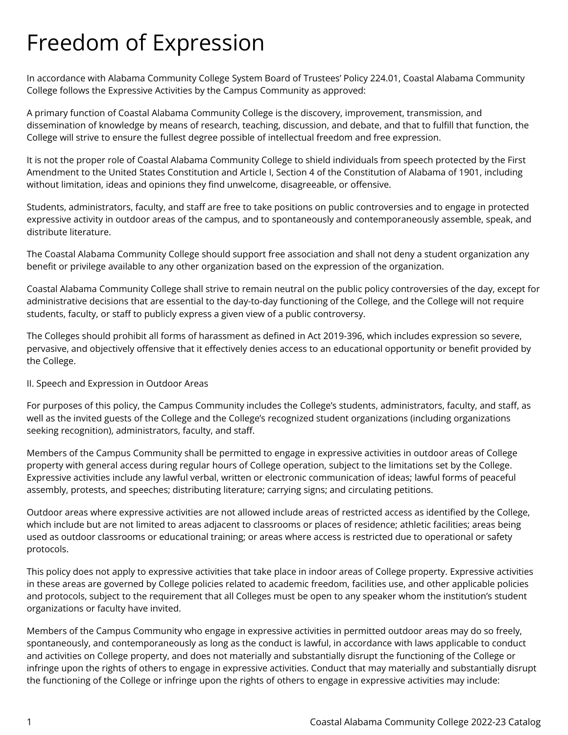# Freedom of Expression

In accordance with Alabama Community College System Board of Trustees' Policy 224.01, Coastal Alabama Community College follows the Expressive Activities by the Campus Community as approved:

A primary function of Coastal Alabama Community College is the discovery, improvement, transmission, and dissemination of knowledge by means of research, teaching, discussion, and debate, and that to fulfill that function, the College will strive to ensure the fullest degree possible of intellectual freedom and free expression.

It is not the proper role of Coastal Alabama Community College to shield individuals from speech protected by the First Amendment to the United States Constitution and Article I, Section 4 of the Constitution of Alabama of 1901, including without limitation, ideas and opinions they find unwelcome, disagreeable, or offensive.

Students, administrators, faculty, and staff are free to take positions on public controversies and to engage in protected expressive activity in outdoor areas of the campus, and to spontaneously and contemporaneously assemble, speak, and distribute literature.

The Coastal Alabama Community College should support free association and shall not deny a student organization any benefit or privilege available to any other organization based on the expression of the organization.

Coastal Alabama Community College shall strive to remain neutral on the public policy controversies of the day, except for administrative decisions that are essential to the day-to-day functioning of the College, and the College will not require students, faculty, or staff to publicly express a given view of a public controversy.

The Colleges should prohibit all forms of harassment as defined in Act 2019-396, which includes expression so severe, pervasive, and objectively offensive that it effectively denies access to an educational opportunity or benefit provided by the College.

## II. Speech and Expression in Outdoor Areas

For purposes of this policy, the Campus Community includes the College's students, administrators, faculty, and staff, as well as the invited guests of the College and the College's recognized student organizations (including organizations seeking recognition), administrators, faculty, and staff.

Members of the Campus Community shall be permitted to engage in expressive activities in outdoor areas of College property with general access during regular hours of College operation, subject to the limitations set by the College. Expressive activities include any lawful verbal, written or electronic communication of ideas; lawful forms of peaceful assembly, protests, and speeches; distributing literature; carrying signs; and circulating petitions.

Outdoor areas where expressive activities are not allowed include areas of restricted access as identified by the College, which include but are not limited to areas adjacent to classrooms or places of residence; athletic facilities; areas being used as outdoor classrooms or educational training; or areas where access is restricted due to operational or safety protocols.

This policy does not apply to expressive activities that take place in indoor areas of College property. Expressive activities in these areas are governed by College policies related to academic freedom, facilities use, and other applicable policies and protocols, subject to the requirement that all Colleges must be open to any speaker whom the institution's student organizations or faculty have invited.

Members of the Campus Community who engage in expressive activities in permitted outdoor areas may do so freely, spontaneously, and contemporaneously as long as the conduct is lawful, in accordance with laws applicable to conduct and activities on College property, and does not materially and substantially disrupt the functioning of the College or infringe upon the rights of others to engage in expressive activities. Conduct that may materially and substantially disrupt the functioning of the College or infringe upon the rights of others to engage in expressive activities may include: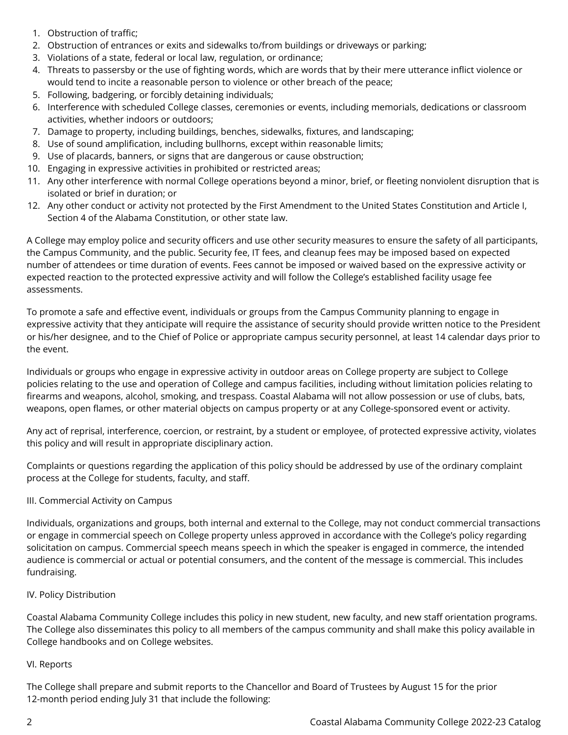- 1. Obstruction of traffic;
- 2. Obstruction of entrances or exits and sidewalks to/from buildings or driveways or parking;
- 3. Violations of a state, federal or local law, regulation, or ordinance;
- 4. Threats to passersby or the use of fighting words, which are words that by their mere utterance inflict violence or would tend to incite a reasonable person to violence or other breach of the peace;
- 5. Following, badgering, or forcibly detaining individuals;
- 6. Interference with scheduled College classes, ceremonies or events, including memorials, dedications or classroom activities, whether indoors or outdoors;
- 7. Damage to property, including buildings, benches, sidewalks, fixtures, and landscaping;
- 8. Use of sound amplification, including bullhorns, except within reasonable limits;
- 9. Use of placards, banners, or signs that are dangerous or cause obstruction;
- 10. Engaging in expressive activities in prohibited or restricted areas;
- 11. Any other interference with normal College operations beyond a minor, brief, or fleeting nonviolent disruption that is isolated or brief in duration; or
- 12. Any other conduct or activity not protected by the First Amendment to the United States Constitution and Article I, Section 4 of the Alabama Constitution, or other state law.

A College may employ police and security officers and use other security measures to ensure the safety of all participants, the Campus Community, and the public. Security fee, IT fees, and cleanup fees may be imposed based on expected number of attendees or time duration of events. Fees cannot be imposed or waived based on the expressive activity or expected reaction to the protected expressive activity and will follow the College's established facility usage fee assessments.

To promote a safe and effective event, individuals or groups from the Campus Community planning to engage in expressive activity that they anticipate will require the assistance of security should provide written notice to the President or his/her designee, and to the Chief of Police or appropriate campus security personnel, at least 14 calendar days prior to the event.

Individuals or groups who engage in expressive activity in outdoor areas on College property are subject to College policies relating to the use and operation of College and campus facilities, including without limitation policies relating to firearms and weapons, alcohol, smoking, and trespass. Coastal Alabama will not allow possession or use of clubs, bats, weapons, open flames, or other material objects on campus property or at any College-sponsored event or activity.

Any act of reprisal, interference, coercion, or restraint, by a student or employee, of protected expressive activity, violates this policy and will result in appropriate disciplinary action.

Complaints or questions regarding the application of this policy should be addressed by use of the ordinary complaint process at the College for students, faculty, and staff.

## III. Commercial Activity on Campus

Individuals, organizations and groups, both internal and external to the College, may not conduct commercial transactions or engage in commercial speech on College property unless approved in accordance with the College's policy regarding solicitation on campus. Commercial speech means speech in which the speaker is engaged in commerce, the intended audience is commercial or actual or potential consumers, and the content of the message is commercial. This includes fundraising.

## IV. Policy Distribution

Coastal Alabama Community College includes this policy in new student, new faculty, and new staff orientation programs. The College also disseminates this policy to all members of the campus community and shall make this policy available in College handbooks and on College websites.

## VI. Reports

The College shall prepare and submit reports to the Chancellor and Board of Trustees by August 15 for the prior 12-month period ending July 31 that include the following: